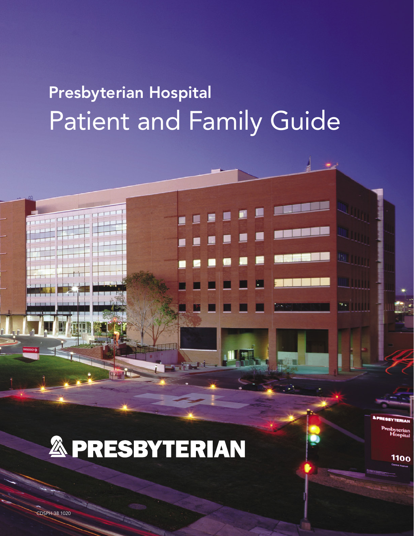# Presbyterian Hospital Patient and Family Guide

sbyterian<br>Hospital

**1100** 

**& PRESBYTERIAN** 

CDSPH-38 1020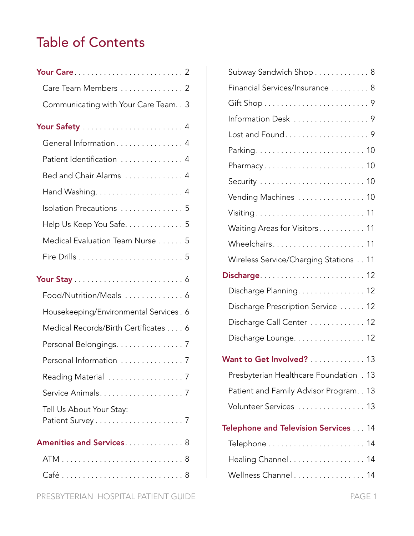# Table of Contents

| Care Team Members  2                    |
|-----------------------------------------|
| Communicating with Your Care Team. . 3  |
|                                         |
| General Information 4                   |
| Patient Identification  4               |
| Bed and Chair Alarms  4                 |
|                                         |
| Isolation Precautions  5                |
| Help Us Keep You Safe. 5                |
| Medical Evaluation Team Nurse 5         |
|                                         |
|                                         |
| Food/Nutrition/Meals  6                 |
| Housekeeping/Environmental Services . 6 |
| Medical Records/Birth Certificates 6    |
| Personal Belongings. 7                  |
| Personal Information  7                 |
|                                         |
|                                         |
| Tell Us About Your Stay:                |
| Amenities and Services 8                |
|                                         |
|                                         |

| Subway Sandwich Shop 8                   |
|------------------------------------------|
| Financial Services/Insurance 8           |
|                                          |
| Information Desk 9                       |
| Lost and Found9                          |
|                                          |
|                                          |
|                                          |
| Vending Machines  10                     |
| Visiting 11                              |
| Waiting Areas for Visitors 11            |
|                                          |
| Wireless Service/Charging Stations 11    |
|                                          |
| Discharge Planning. 12                   |
| Discharge Prescription Service  12       |
| Discharge Call Center  12                |
| Discharge Lounge. 12                     |
| Want to Get Involved? 13                 |
| Presbyterian Healthcare Foundation . 13  |
| Patient and Family Advisor Program. . 13 |
| Volunteer Services  13                   |
| Telephone and Television Services 14     |
|                                          |
| Healing Channel 14                       |
| Wellness Channel 14                      |
|                                          |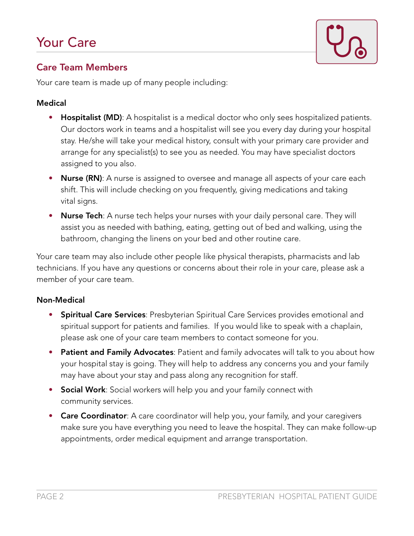

#### Care Team Members

Your care team is made up of many people including:

#### Medical

- Hospitalist (MD): A hospitalist is a medical doctor who only sees hospitalized patients. Our doctors work in teams and a hospitalist will see you every day during your hospital stay. He/she will take your medical history, consult with your primary care provider and arrange for any specialist(s) to see you as needed. You may have specialist doctors assigned to you also.
- Nurse (RN): A nurse is assigned to oversee and manage all aspects of your care each shift. This will include checking on you frequently, giving medications and taking vital signs.
- Nurse Tech: A nurse tech helps your nurses with your daily personal care. They will assist you as needed with bathing, eating, getting out of bed and walking, using the bathroom, changing the linens on your bed and other routine care.

Your care team may also include other people like physical therapists, pharmacists and lab technicians. If you have any questions or concerns about their role in your care, please ask a member of your care team.

#### Non-Medical

- **Spiritual Care Services**: Presbyterian Spiritual Care Services provides emotional and spiritual support for patients and families. If you would like to speak with a chaplain, please ask one of your care team members to contact someone for you.
- Patient and Family Advocates: Patient and family advocates will talk to you about how your hospital stay is going. They will help to address any concerns you and your family may have about your stay and pass along any recognition for staff.
- Social Work: Social workers will help you and your family connect with community services.
- Care Coordinator: A care coordinator will help you, your family, and your caregivers make sure you have everything you need to leave the hospital. They can make follow-up appointments, order medical equipment and arrange transportation.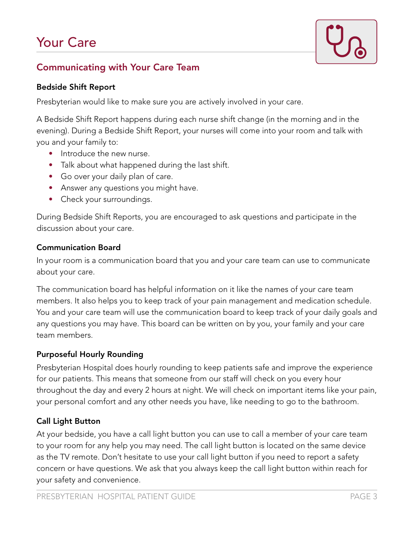# Your Care



#### Communicating with Your Care Team

#### Bedside Shift Report

Presbyterian would like to make sure you are actively involved in your care.

A Bedside Shift Report happens during each nurse shift change (in the morning and in the evening). During a Bedside Shift Report, your nurses will come into your room and talk with you and your family to:

- Introduce the new nurse.
- Talk about what happened during the last shift.
- Go over your daily plan of care.
- Answer any questions you might have.
- Check your surroundings.

During Bedside Shift Reports, you are encouraged to ask questions and participate in the discussion about your care.

#### Communication Board

In your room is a communication board that you and your care team can use to communicate about your care.

The communication board has helpful information on it like the names of your care team members. It also helps you to keep track of your pain management and medication schedule. You and your care team will use the communication board to keep track of your daily goals and any questions you may have. This board can be written on by you, your family and your care team members.

#### Purposeful Hourly Rounding

Presbyterian Hospital does hourly rounding to keep patients safe and improve the experience for our patients. This means that someone from our staff will check on you every hour throughout the day and every 2 hours at night. We will check on important items like your pain, your personal comfort and any other needs you have, like needing to go to the bathroom.

#### Call Light Button

At your bedside, you have a call light button you can use to call a member of your care team to your room for any help you may need. The call light button is located on the same device as the TV remote. Don't hesitate to use your call light button if you need to report a safety concern or have questions. We ask that you always keep the call light button within reach for your safety and convenience.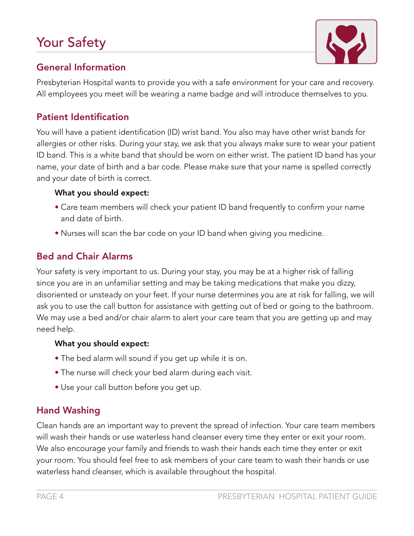# Your Safety



### General Information

Presbyterian Hospital wants to provide you with a safe environment for your care and recovery. All employees you meet will be wearing a name badge and will introduce themselves to you.

#### Patient Identification

You will have a patient identification (ID) wrist band. You also may have other wrist bands for allergies or other risks. During your stay, we ask that you always make sure to wear your patient ID band. This is a white band that should be worn on either wrist. The patient ID band has your name, your date of birth and a bar code. Please make sure that your name is spelled correctly and your date of birth is correct.

#### What you should expect:

- Care team members will check your patient ID band frequently to confirm your name and date of birth.
- Nurses will scan the bar code on your ID band when giving you medicine.

### Bed and Chair Alarms

Your safety is very important to us. During your stay, you may be at a higher risk of falling since you are in an unfamiliar setting and may be taking medications that make you dizzy, disoriented or unsteady on your feet. If your nurse determines you are at risk for falling, we will ask you to use the call button for assistance with getting out of bed or going to the bathroom. We may use a bed and/or chair alarm to alert your care team that you are getting up and may need help.

#### What you should expect:

- The bed alarm will sound if you get up while it is on.
- The nurse will check your bed alarm during each visit.
- Use your call button before you get up.

# Hand Washing

Clean hands are an important way to prevent the spread of infection. Your care team members will wash their hands or use waterless hand cleanser every time they enter or exit your room. We also encourage your family and friends to wash their hands each time they enter or exit your room. You should feel free to ask members of your care team to wash their hands or use waterless hand cleanser, which is available throughout the hospital.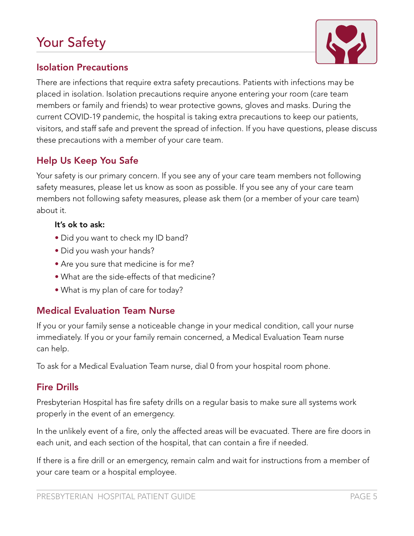# Your Safety



#### Isolation Precautions

There are infections that require extra safety precautions. Patients with infections may be placed in isolation. Isolation precautions require anyone entering your room (care team members or family and friends) to wear protective gowns, gloves and masks. During the current COVID-19 pandemic, the hospital is taking extra precautions to keep our patients, visitors, and staff safe and prevent the spread of infection. If you have questions, please discuss these precautions with a member of your care team.

#### Help Us Keep You Safe

Your safety is our primary concern. If you see any of your care team members not following safety measures, please let us know as soon as possible. If you see any of your care team members not following safety measures, please ask them (or a member of your care team) about it.

#### It's ok to ask:

- Did you want to check my ID band?
- Did you wash your hands?
- Are you sure that medicine is for me?
- What are the side-effects of that medicine?
- What is my plan of care for today?

#### Medical Evaluation Team Nurse

If you or your family sense a noticeable change in your medical condition, call your nurse immediately. If you or your family remain concerned, a Medical Evaluation Team nurse can help.

To ask for a Medical Evaluation Team nurse, dial 0 from your hospital room phone.

#### Fire Drills

Presbyterian Hospital has fire safety drills on a regular basis to make sure all systems work properly in the event of an emergency.

In the unlikely event of a fire, only the affected areas will be evacuated. There are fire doors in each unit, and each section of the hospital, that can contain a fire if needed.

If there is a fire drill or an emergency, remain calm and wait for instructions from a member of your care team or a hospital employee.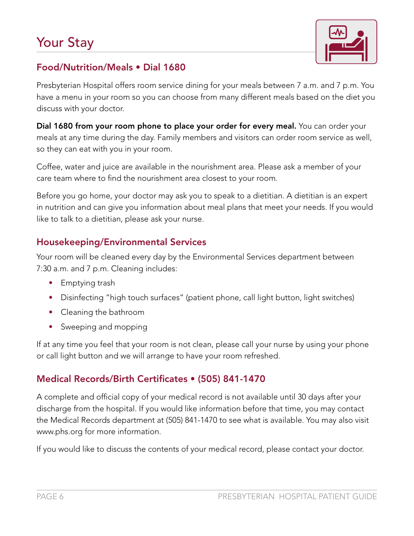

### Food/Nutrition/Meals • Dial 1680

Presbyterian Hospital offers room service dining for your meals between 7 a.m. and 7 p.m. You have a menu in your room so you can choose from many different meals based on the diet you discuss with your doctor.

Dial 1680 from your room phone to place your order for every meal. You can order your meals at any time during the day. Family members and visitors can order room service as well, so they can eat with you in your room.

Coffee, water and juice are available in the nourishment area. Please ask a member of your care team where to find the nourishment area closest to your room.

Before you go home, your doctor may ask you to speak to a dietitian. A dietitian is an expert in nutrition and can give you information about meal plans that meet your needs. If you would like to talk to a dietitian, please ask your nurse.

### Housekeeping/Environmental Services

Your room will be cleaned every day by the Environmental Services department between 7:30 a.m. and 7 p.m. Cleaning includes:

- Emptying trash
- Disinfecting "high touch surfaces" (patient phone, call light button, light switches)
- Cleaning the bathroom
- Sweeping and mopping

If at any time you feel that your room is not clean, please call your nurse by using your phone or call light button and we will arrange to have your room refreshed.

### Medical Records/Birth Certificates • (505) 841-1470

A complete and official copy of your medical record is not available until 30 days after your discharge from the hospital. If you would like information before that time, you may contact the Medical Records department at (505) 841-1470 to see what is available. You may also visit www.phs.org for more information.

If you would like to discuss the contents of your medical record, please contact your doctor.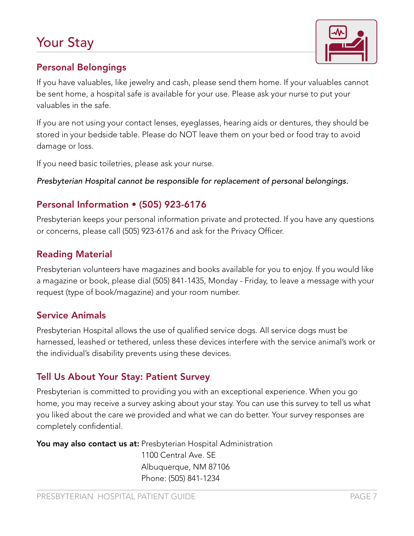# Your Stay



#### Personal Belongings

If you have valuables, like jewelry and cash, please send them home. If your valuables cannot be sent home, a hospital safe is available for your use. Please ask your nurse to put your valuables in the safe.

If you are not using your contact lenses, eyeglasses, hearing aids or dentures, they should be stored in your bedside table. Please do NOT leave them on your bed or food tray to avoid damage or loss.

If you need basic toiletries, please ask your nurse.

*Presbyterian Hospital cannot be responsible for replacement of personal belongings.* 

#### Personal Information • (505) 923-6176

Presbyterian keeps your personal information private and protected. If you have any questions or concerns, please call (505) 923-6176 and ask for the Privacy Officer.

#### Reading Material

Presbyterian volunteers have magazines and books available for you to enjoy. If you would like a magazine or book, please dial (505) 841-1435, Monday - Friday, to leave a message with your request (type of book/magazine) and your room number.

#### Service Animals

Presbyterian Hospital allows the use of qualified service dogs. All service dogs must be harnessed, leashed or tethered, unless these devices interfere with the service animal's work or the individual's disability prevents using these devices.

### Tell Us About Your Stay: Patient Survey

Presbyterian is committed to providing you with an exceptional experience. When you go home, you may receive a survey asking about your stay. You can use this survey to tell us what you liked about the care we provided and what we can do better. Your survey responses are completely confidential.

You may also contact us at: Presbyterian Hospital Administration 1100 Central Ave. SE Albuquerque, NM 87106 Phone: (505) 841-1234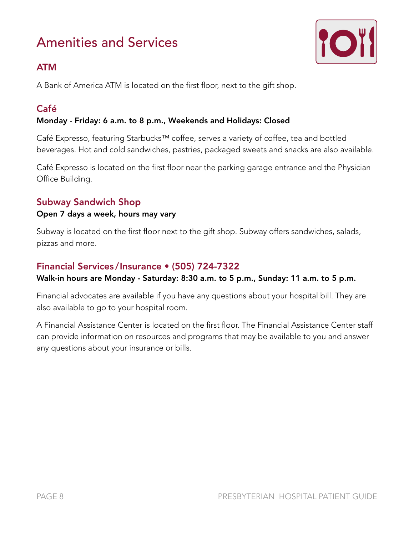

#### ATM

A Bank of America ATM is located on the first floor, next to the gift shop.

## Café

#### Monday - Friday: 6 a.m. to 8 p.m., Weekends and Holidays: Closed

Café Expresso, featuring Starbucks™ coffee, serves a variety of coffee, tea and bottled beverages. Hot and cold sandwiches, pastries, packaged sweets and snacks are also available.

Café Expresso is located on the first floor near the parking garage entrance and the Physician Office Building.

#### Subway Sandwich Shop

#### Open 7 days a week, hours may vary

Subway is located on the first floor next to the gift shop. Subway offers sandwiches, salads, pizzas and more.

#### Financial Services /Insurance • (505) 724-7322

#### Walk-in hours are Monday - Saturday: 8:30 a.m. to 5 p.m., Sunday: 11 a.m. to 5 p.m.

Financial advocates are available if you have any questions about your hospital bill. They are also available to go to your hospital room.

A Financial Assistance Center is located on the first floor. The Financial Assistance Center staff can provide information on resources and programs that may be available to you and answer any questions about your insurance or bills.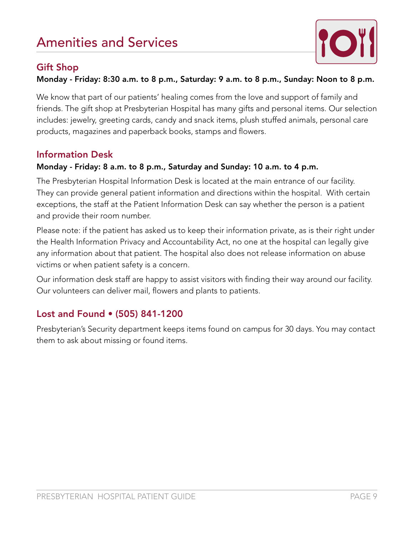

#### Gift Shop

Monday - Friday: 8:30 a.m. to 8 p.m., Saturday: 9 a.m. to 8 p.m., Sunday: Noon to 8 p.m.

We know that part of our patients' healing comes from the love and support of family and friends. The gift shop at Presbyterian Hospital has many gifts and personal items. Our selection includes: jewelry, greeting cards, candy and snack items, plush stuffed animals, personal care products, magazines and paperback books, stamps and flowers.

#### Information Desk

#### Monday - Friday: 8 a.m. to 8 p.m., Saturday and Sunday: 10 a.m. to 4 p.m.

The Presbyterian Hospital Information Desk is located at the main entrance of our facility. They can provide general patient information and directions within the hospital. With certain exceptions, the staff at the Patient Information Desk can say whether the person is a patient and provide their room number.

Please note: if the patient has asked us to keep their information private, as is their right under the Health Information Privacy and Accountability Act, no one at the hospital can legally give any information about that patient. The hospital also does not release information on abuse victims or when patient safety is a concern.

Our information desk staff are happy to assist visitors with finding their way around our facility. Our volunteers can deliver mail, flowers and plants to patients.

### Lost and Found • (505) 841-1200

Presbyterian's Security department keeps items found on campus for 30 days. You may contact them to ask about missing or found items.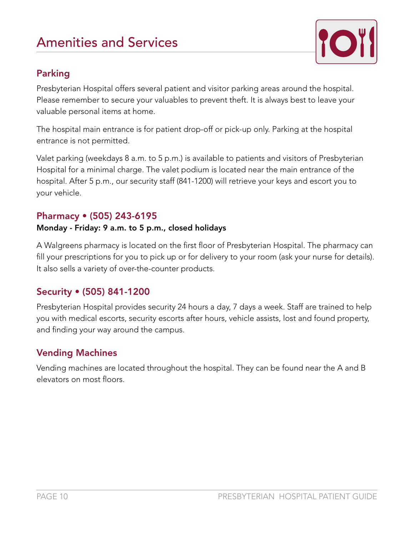

### Parking

Presbyterian Hospital offers several patient and visitor parking areas around the hospital. Please remember to secure your valuables to prevent theft. It is always best to leave your valuable personal items at home.

The hospital main entrance is for patient drop-off or pick-up only. Parking at the hospital entrance is not permitted.

Valet parking (weekdays 8 a.m. to 5 p.m.) is available to patients and visitors of Presbyterian Hospital for a minimal charge. The valet podium is located near the main entrance of the hospital. After 5 p.m., our security staff (841-1200) will retrieve your keys and escort you to your vehicle.

#### Pharmacy • (505) 243-6195

#### Monday - Friday: 9 a.m. to 5 p.m., closed holidays

A Walgreens pharmacy is located on the first floor of Presbyterian Hospital. The pharmacy can fill your prescriptions for you to pick up or for delivery to your room (ask your nurse for details). It also sells a variety of over-the-counter products.

### Security • (505) 841-1200

Presbyterian Hospital provides security 24 hours a day, 7 days a week. Staff are trained to help you with medical escorts, security escorts after hours, vehicle assists, lost and found property, and finding your way around the campus.

### Vending Machines

Vending machines are located throughout the hospital. They can be found near the A and B elevators on most floors.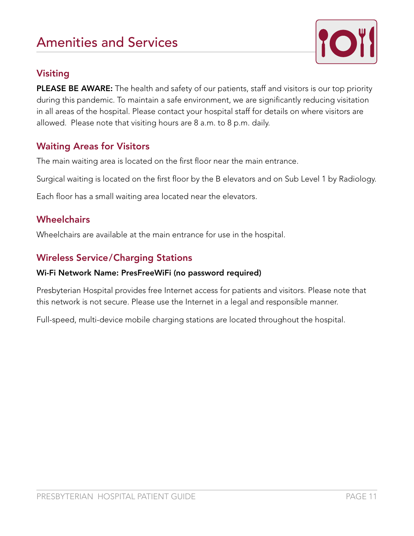

### Visiting

PLEASE BE AWARE: The health and safety of our patients, staff and visitors is our top priority during this pandemic. To maintain a safe environment, we are significantly reducing visitation in all areas of the hospital. Please contact your hospital staff for details on where visitors are allowed. Please note that visiting hours are 8 a.m. to 8 p.m. daily.

### Waiting Areas for Visitors

The main waiting area is located on the first floor near the main entrance.

Surgical waiting is located on the first floor by the B elevators and on Sub Level 1 by Radiology.

Each floor has a small waiting area located near the elevators.

#### **Wheelchairs**

Wheelchairs are available at the main entrance for use in the hospital.

### Wireless Service/Charging Stations

#### Wi-Fi Network Name: PresFreeWiFi (no password required)

Presbyterian Hospital provides free Internet access for patients and visitors. Please note that this network is not secure. Please use the Internet in a legal and responsible manner.

Full-speed, multi-device mobile charging stations are located throughout the hospital.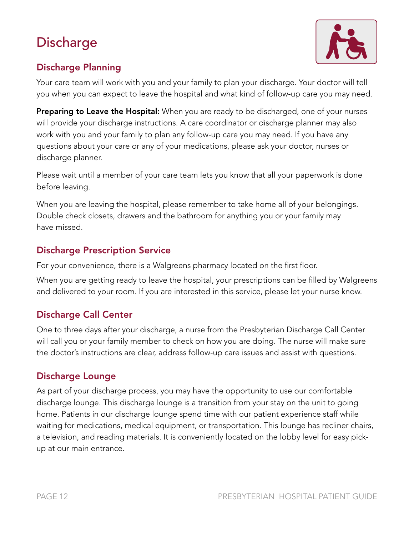

# Discharge Planning

Your care team will work with you and your family to plan your discharge. Your doctor will tell you when you can expect to leave the hospital and what kind of follow-up care you may need.

Preparing to Leave the Hospital: When you are ready to be discharged, one of your nurses will provide your discharge instructions. A care coordinator or discharge planner may also work with you and your family to plan any follow-up care you may need. If you have any questions about your care or any of your medications, please ask your doctor, nurses or discharge planner.

Please wait until a member of your care team lets you know that all your paperwork is done before leaving.

When you are leaving the hospital, please remember to take home all of your belongings. Double check closets, drawers and the bathroom for anything you or your family may have missed.

# Discharge Prescription Service

For your convenience, there is a Walgreens pharmacy located on the first floor.

When you are getting ready to leave the hospital, your prescriptions can be filled by Walgreens and delivered to your room. If you are interested in this service, please let your nurse know.

# Discharge Call Center

One to three days after your discharge, a nurse from the Presbyterian Discharge Call Center will call you or your family member to check on how you are doing. The nurse will make sure the doctor's instructions are clear, address follow-up care issues and assist with questions.

# Discharge Lounge

As part of your discharge process, you may have the opportunity to use our comfortable discharge lounge. This discharge lounge is a transition from your stay on the unit to going home. Patients in our discharge lounge spend time with our patient experience staff while waiting for medications, medical equipment, or transportation. This lounge has recliner chairs, a television, and reading materials. It is conveniently located on the lobby level for easy pickup at our main entrance.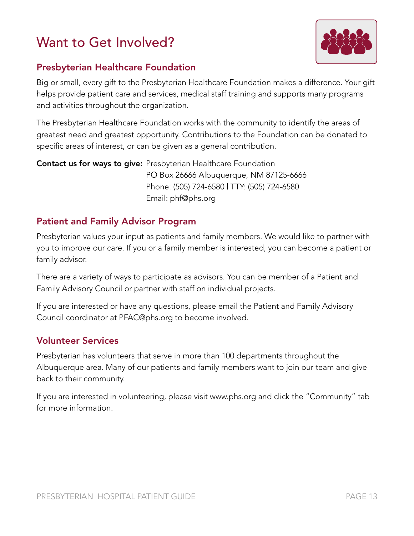# Want to Get Involved?



#### Presbyterian Healthcare Foundation

Big or small, every gift to the Presbyterian Healthcare Foundation makes a difference. Your gift helps provide patient care and services, medical staff training and supports many programs and activities throughout the organization.

The Presbyterian Healthcare Foundation works with the community to identify the areas of greatest need and greatest opportunity. Contributions to the Foundation can be donated to specific areas of interest, or can be given as a general contribution.

Contact us for ways to give: Presbyterian Healthcare Foundation PO Box 26666 Albuquerque, NM 87125-6666 Phone: (505) 724-6580 | TTY: (505) 724-6580 Email: phf@phs.org

#### Patient and Family Advisor Program

Presbyterian values your input as patients and family members. We would like to partner with you to improve our care. If you or a family member is interested, you can become a patient or family advisor.

There are a variety of ways to participate as advisors. You can be member of a Patient and Family Advisory Council or partner with staff on individual projects.

If you are interested or have any questions, please email the Patient and Family Advisory Council coordinator at PFAC@phs.org to become involved.

#### Volunteer Services

Presbyterian has volunteers that serve in more than 100 departments throughout the Albuquerque area. Many of our patients and family members want to join our team and give back to their community.

If you are interested in volunteering, please visit www.phs.org and click the "Community" tab for more information.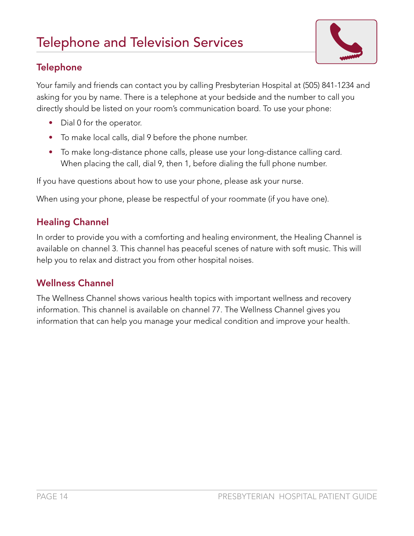

### **Telephone**

Your family and friends can contact you by calling Presbyterian Hospital at (505) 841-1234 and asking for you by name. There is a telephone at your bedside and the number to call you directly should be listed on your room's communication board. To use your phone:

- Dial 0 for the operator.
- To make local calls, dial 9 before the phone number.
- To make long-distance phone calls, please use your long-distance calling card. When placing the call, dial 9, then 1, before dialing the full phone number.

If you have questions about how to use your phone, please ask your nurse.

When using your phone, please be respectful of your roommate (if you have one).

### Healing Channel

In order to provide you with a comforting and healing environment, the Healing Channel is available on channel 3. This channel has peaceful scenes of nature with soft music. This will help you to relax and distract you from other hospital noises.

### Wellness Channel

The Wellness Channel shows various health topics with important wellness and recovery information. This channel is available on channel 77. The Wellness Channel gives you information that can help you manage your medical condition and improve your health.